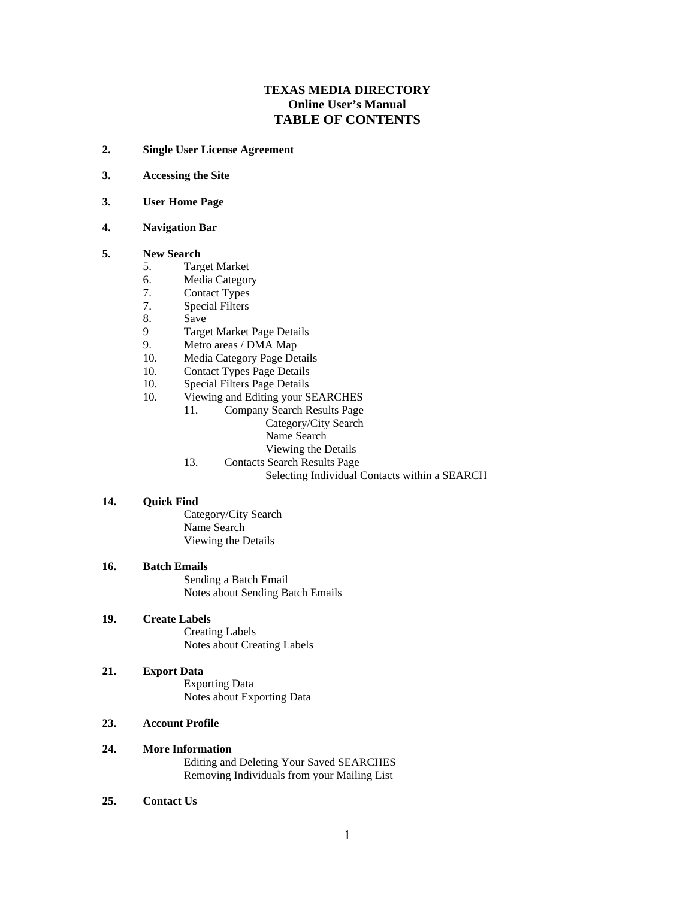### **TEXAS MEDIA DIRECTORY Online User's Manual TABLE OF CONTENTS**

- **2. Single User License Agreement**
- **3. Accessing the Site**
- **3. User Home Page**

### **4. Navigation Bar**

#### **5. New Search**

- 5. Target Market
- 6. Media Category
- 7. Contact Types
- 7. Special Filters
- 8. Save
- 9 Target Market Page Details
- 9. Metro areas / DMA Map
- 10. Media Category Page Details
- 10. Contact Types Page Details
- 10. Special Filters Page Details<br>10. Viewing and Editing your S
- Viewing and Editing your SEARCHES
	- 11. Company Search Results Page
		- Category/City Search
			- Name Search **Name Search Name Search Name Search Name Search Name Search**
		- Viewing the Details
	-
	- 13. Contacts Search Results Page<br>Selecting Individual Contacts within a SEARCH Selecting Individual Contacts within a SEARCH

#### **14. Quick Find**

Category/City Search Name Search **Name Search Name Search Name Search Name Search Name Search** Viewing the Details

#### **16. Batch Emails**

Sending a Batch Email Notes about Sending Batch Emails

#### **19. Create Labels**

Creating Labels Notes about Creating Labels

**21. Export Data** Exporting Data

Notes about Exporting Data

### **23. Account Profile**

- **24. More Information** Editing and Deleting Your Saved SEARCHES Removing Individuals from your Mailing List
- **25. Contact Us**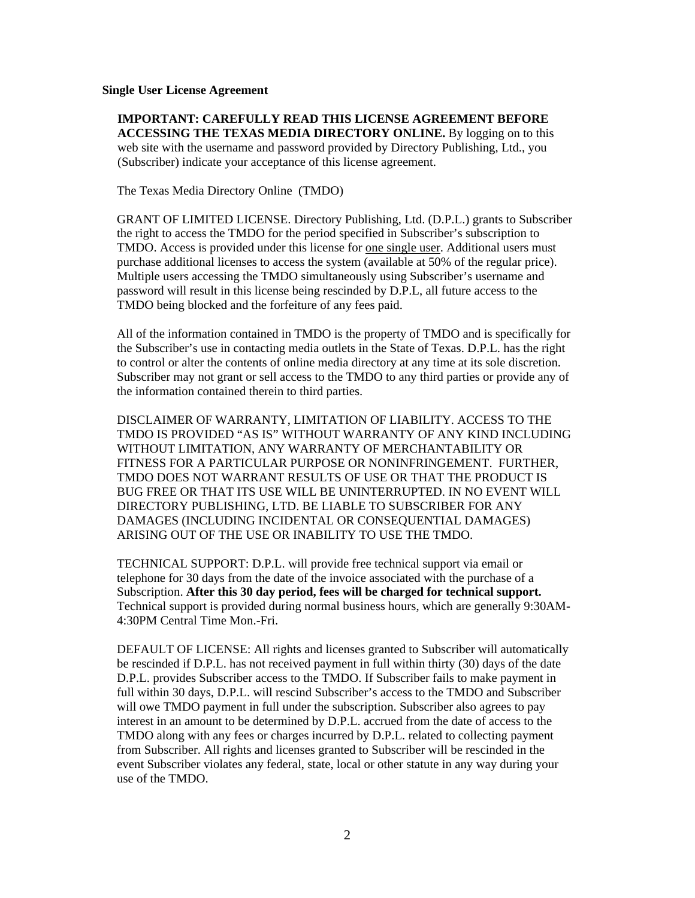### **Single User License Agreement**

**IMPORTANT: CAREFULLY READ THIS LICENSE AGREEMENT BEFORE ACCESSING THE TEXAS MEDIA DIRECTORY ONLINE.** By logging on to this web site with the username and password provided by Directory Publishing, Ltd., you (Subscriber) indicate your acceptance of this license agreement.

The Texas Media Directory Online (TMDO)

GRANT OF LIMITED LICENSE. Directory Publishing, Ltd. (D.P.L.) grants to Subscriber the right to access the TMDO for the period specified in Subscriber's subscription to TMDO. Access is provided under this license for one single user. Additional users must purchase additional licenses to access the system (available at 50% of the regular price). Multiple users accessing the TMDO simultaneously using Subscriber's username and password will result in this license being rescinded by D.P.L, all future access to the TMDO being blocked and the forfeiture of any fees paid.

All of the information contained in TMDO is the property of TMDO and is specifically for the Subscriber's use in contacting media outlets in the State of Texas. D.P.L. has the right to control or alter the contents of online media directory at any time at its sole discretion. Subscriber may not grant or sell access to the TMDO to any third parties or provide any of the information contained therein to third parties.

DISCLAIMER OF WARRANTY, LIMITATION OF LIABILITY. ACCESS TO THE TMDO IS PROVIDED "AS IS" WITHOUT WARRANTY OF ANY KIND INCLUDING WITHOUT LIMITATION, ANY WARRANTY OF MERCHANTABILITY OR FITNESS FOR A PARTICULAR PURPOSE OR NONINFRINGEMENT. FURTHER, TMDO DOES NOT WARRANT RESULTS OF USE OR THAT THE PRODUCT IS BUG FREE OR THAT ITS USE WILL BE UNINTERRUPTED. IN NO EVENT WILL DIRECTORY PUBLISHING, LTD. BE LIABLE TO SUBSCRIBER FOR ANY DAMAGES (INCLUDING INCIDENTAL OR CONSEQUENTIAL DAMAGES) ARISING OUT OF THE USE OR INABILITY TO USE THE TMDO.

TECHNICAL SUPPORT: D.P.L. will provide free technical support via email or telephone for 30 days from the date of the invoice associated with the purchase of a Subscription. **After this 30 day period, fees will be charged for technical support.**  Technical support is provided during normal business hours, which are generally 9:30AM- 4:30PM Central Time Mon.-Fri.

DEFAULT OF LICENSE: All rights and licenses granted to Subscriber will automatically be rescinded if D.P.L. has not received payment in full within thirty (30) days of the date D.P.L. provides Subscriber access to the TMDO. If Subscriber fails to make payment in full within 30 days, D.P.L. will rescind Subscriber's access to the TMDO and Subscriber will owe TMDO payment in full under the subscription. Subscriber also agrees to pay interest in an amount to be determined by D.P.L. accrued from the date of access to the TMDO along with any fees or charges incurred by D.P.L. related to collecting payment from Subscriber. All rights and licenses granted to Subscriber will be rescinded in the event Subscriber violates any federal, state, local or other statute in any way during your use of the TMDO.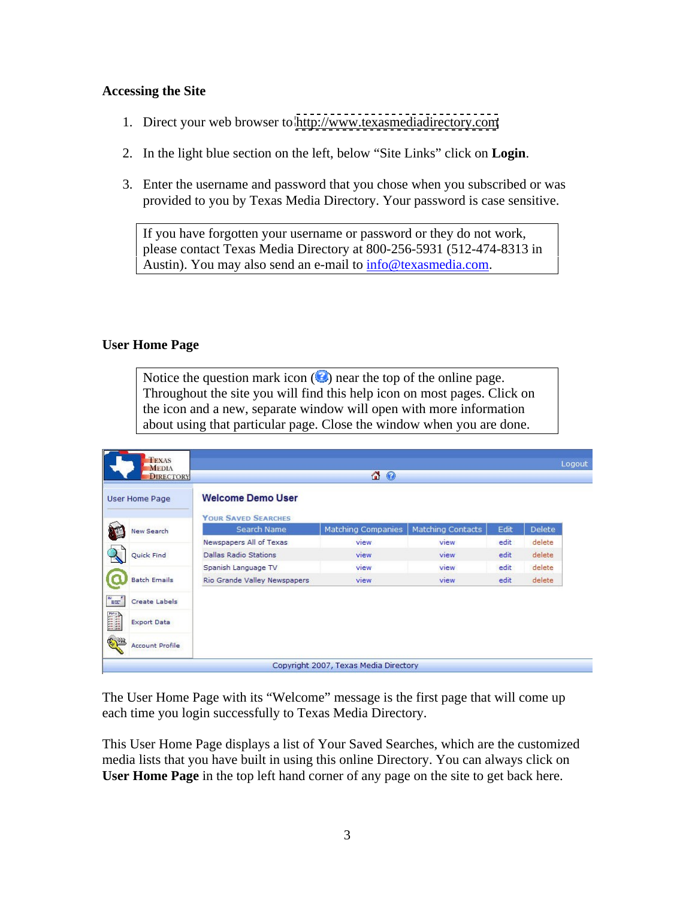### **Accessing the Site**

- 1. Direct your web browser to<http://www.texasmediadirectory.com>
- 2. In the light blue section on the left, below "Site Links" click on **Login**.
- 3. Enter the username and password that you chose when you subscribed or was provided to you by Texas Media Directory. Your password is case sensitive.

If you have forgotten your username or password or they do not work, please contact Texas Media Directory at 800-256-5931 (512-474-8313 in Austin). You may also send an e-mail to info@texasmedia.com.

### **User Home Page**

Notice the question mark icon  $\circled{e}$  near the top of the online page. Throughout the site you will find this help icon on most pages. Click on the icon and a new, separate window will open with more information about using that particular page. Close the window when you are done.

| TEXAS<br>MEDIA<br><b>DIRECTORY</b> |                                                        | $\Omega$                              |                   |       | Logout        |
|------------------------------------|--------------------------------------------------------|---------------------------------------|-------------------|-------|---------------|
| User Home Page                     | <b>Welcome Demo User</b><br><b>YOUR SAVED SEARCHES</b> |                                       |                   |       |               |
| <b>New Search</b>                  | Search Name                                            | <b>Matching Companies</b>             | Matching Contacts | Edit  | <b>Delete</b> |
|                                    | Newspapers All of Texas                                | view                                  | view              | edit  | delete        |
| Quick Find                         | <b>Dallas Radio Stations</b>                           | view                                  | view              | edit. | delete        |
|                                    | Spanish Language TV                                    | view                                  | view              | edit  | delete        |
| <b>Batch Emails</b>                | Rio Grande Valley Newspapers                           | view                                  | <b>view</b>       | edit  | delete        |
| Test <sup>1</sup><br>Create Labels |                                                        |                                       |                   |       |               |
| <b>THE</b><br><b>Export Data</b>   |                                                        |                                       |                   |       |               |
| <b>Account Profile</b>             |                                                        |                                       |                   |       |               |
|                                    |                                                        | Copyright 2007, Texas Media Directory |                   |       |               |

The User Home Page with its "Welcome" message is the first page that will come up each time you login successfully to Texas Media Directory.

This User Home Page displays a list of Your Saved Searches, which are the customized media lists that you have built in using this online Directory. You can always click on **User Home Page** in the top left hand corner of any page on the site to get back here.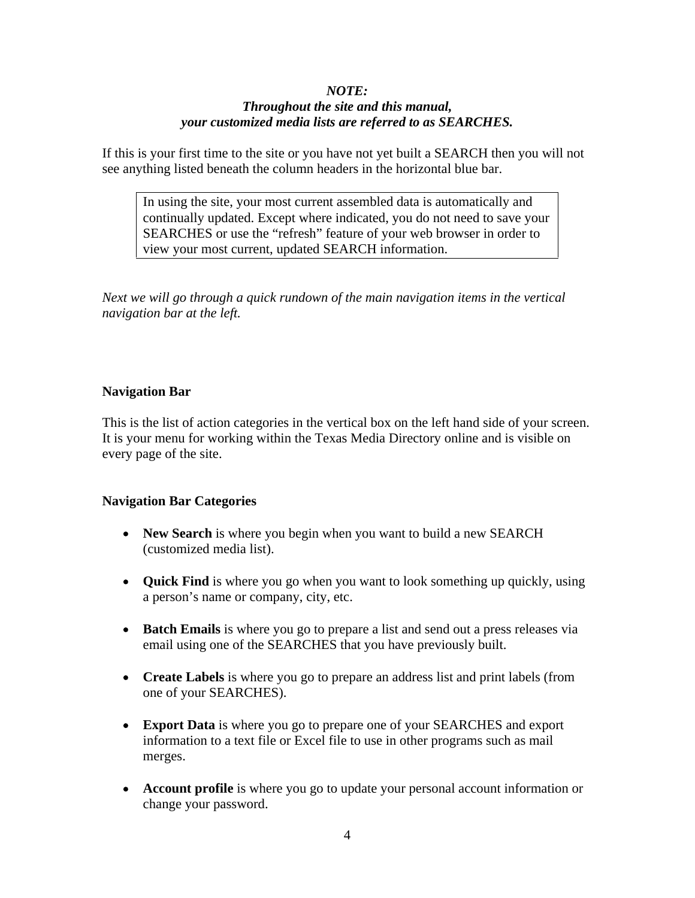# *NOTE:*

# *Throughout the site and this manual, your customized media lists are referred to as SEARCHES.*

If this is your first time to the site or you have not yet built a SEARCH then you will not see anything listed beneath the column headers in the horizontal blue bar.

In using the site, your most current assembled data is automatically and continually updated. Except where indicated, you do not need to save your SEARCHES or use the "refresh" feature of your web browser in order to view your most current, updated SEARCH information.

*Next we will go through a quick rundown of the main navigation items in the vertical navigation bar at the left.*

# **Navigation Bar**

This is the list of action categories in the vertical box on the left hand side of your screen. It is your menu for working within the Texas Media Directory online and is visible on every page of the site.

# **Navigation Bar Categories**

- New Search is where you begin when you want to build a new SEARCH (customized media list).
- **Quick Find** is where you go when you want to look something up quickly, using a person's name or company, city, etc.
- **Batch Emails** is where you go to prepare a list and send out a press releases via email using one of the SEARCHES that you have previously built.
- **Create Labels** is where you go to prepare an address list and print labels (from one of your SEARCHES).
- **Export Data** is where you go to prepare one of your SEARCHES and export information to a text file or Excel file to use in other programs such as mail merges.
- **Account profile** is where you go to update your personal account information or change your password.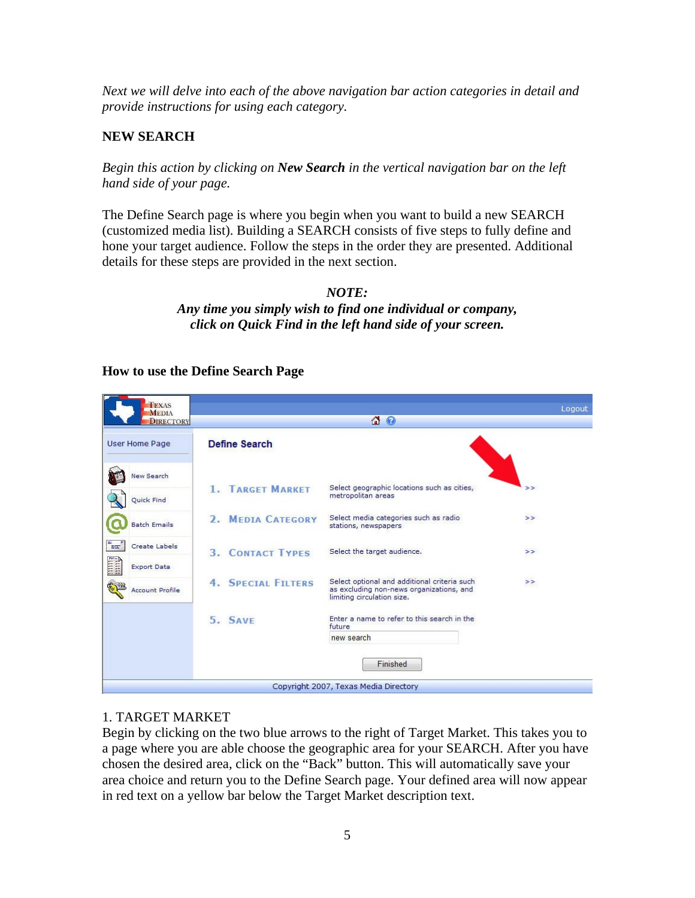*Next we will delve into each of the above navigation bar action categories in detail and provide instructions for using each category.*

# **NEW SEARCH**

*Begin this action by clicking on New Search in the vertical navigation bar on the left hand side of your page.*

The Define Search page is where you begin when you want to build a new SEARCH (customized media list). Building a SEARCH consists of five steps to fully define and hone your target audience. Follow the steps in the order they are presented. Additional details for these steps are provided in the next section.

### *NOTE: Any time you simply wish to find one individual or company, click on Quick Find in the left hand side of your screen.*

# **How to use the Define Search Page**

| <b>TEXAS</b><br><b>MEDIA</b>                          |                           |                                                                                          | Logout |  |
|-------------------------------------------------------|---------------------------|------------------------------------------------------------------------------------------|--------|--|
| <b>DIRECTORY</b>                                      | 4 O                       |                                                                                          |        |  |
| User Home Page                                        | <b>Define Search</b>      |                                                                                          |        |  |
| <b>New Search</b>                                     | <b>1. TARGET MARKET</b>   | Select geographic locations such as cities,<br>metropolitan areas                        | >      |  |
| Quick Find<br><b>Batch Emails</b>                     | 2. MEDIA CATEGORY         | Select media categories such as radio<br>stations, newspapers                            | >>     |  |
| اس <sup>م</sup><br>Create Labels                      | <b>3. CONTACT TYPES</b>   | Select the target audience.                                                              | >>     |  |
| iiii)<br><b>Export Data</b><br><b>Account Profile</b> | <b>4. SPECIAL FILTERS</b> | Select optional and additional criteria such<br>as excluding non-news organizations, and | >      |  |
|                                                       | 5. SAVE                   | limiting circulation size.<br>Enter a name to refer to this search in the<br>future      |        |  |
|                                                       |                           | new search<br>Finished                                                                   |        |  |
|                                                       |                           | Copyright 2007, Texas Media Directory                                                    |        |  |

# 1. TARGET MARKET

Begin by clicking on the two blue arrows to the right of Target Market. This takes you to a page where you are able choose the geographic area for your SEARCH. After you have chosen the desired area, click on the "Back" button. This will automatically save your area choice and return you to the Define Search page. Your defined area will now appear in red text on a yellow bar below the Target Market description text.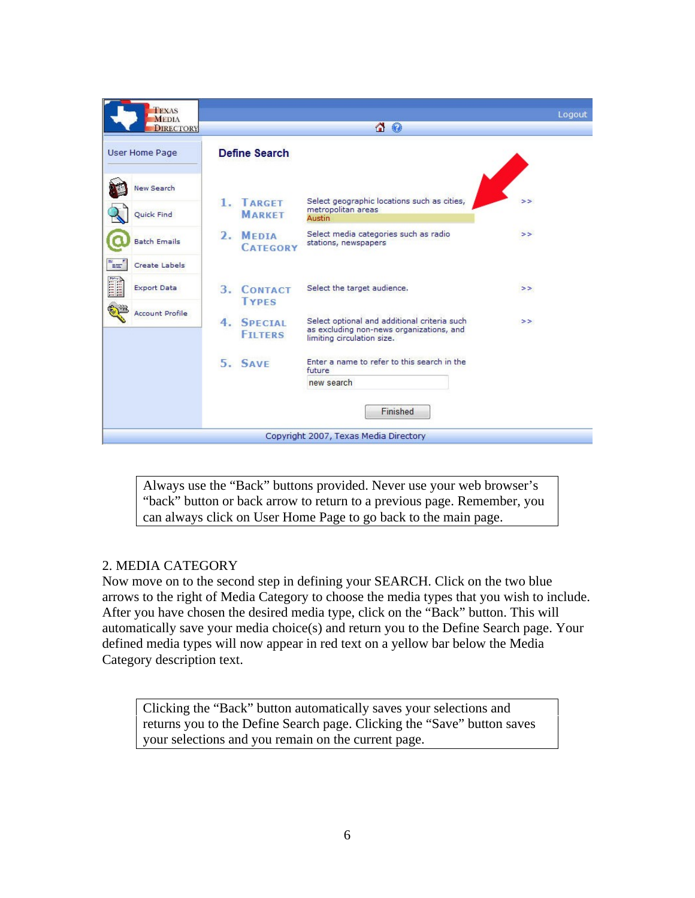| TEXAS<br><b>MEDIA</b>                                        |                                                       |                                                                                                                        | Logout |
|--------------------------------------------------------------|-------------------------------------------------------|------------------------------------------------------------------------------------------------------------------------|--------|
| <b>DIRECTORY</b>                                             |                                                       | 4<br>$\bullet$                                                                                                         |        |
| User Home Page                                               | <b>Define Search</b>                                  |                                                                                                                        |        |
| <b>New Search</b><br>Quick Find                              | 1. TARGET<br><b>MARKET</b>                            | Select geographic locations such as cities,<br>metropolitan areas<br>Austin                                            | >      |
| <b>Batch Emails</b>                                          | 2. MEDIA<br><b>CATEGORY</b>                           | Select media categories such as radio<br>stations, newspapers                                                          | >>     |
| ▚▄▘<br><b>Create Labels</b><br>Filippo<br><b>Export Data</b> | 3.<br><b>CONTACT</b><br><b>TYPES</b>                  | Select the target audience.                                                                                            | >      |
| <b>Account Profile</b>                                       | $\overline{4}$ .<br><b>SPECIAL</b><br><b>FTI TERS</b> | Select optional and additional criteria such<br>as excluding non-news organizations, and<br>limiting circulation size. | >>     |
|                                                              | 5. SAVE                                               | Enter a name to refer to this search in the<br>future<br>new search                                                    |        |
|                                                              |                                                       | Finished                                                                                                               |        |
|                                                              |                                                       | Copyright 2007, Texas Media Directory                                                                                  |        |

Always use the "Back" buttons provided. Never use your web browser's "back" button or back arrow to return to a previous page. Remember, you can always click on User Home Page to go back to the main page.

# 2. MEDIA CATEGORY

Now move on to the second step in defining your SEARCH. Click on the two blue arrows to the right of Media Category to choose the media types that you wish to include. After you have chosen the desired media type, click on the "Back" button. This will automatically save your media choice(s) and return you to the Define Search page. Your defined media types will now appear in red text on a yellow bar below the Media Category description text.

Clicking the "Back" button automatically saves your selections and returns you to the Define Search page. Clicking the "Save" button saves your selections and you remain on the current page.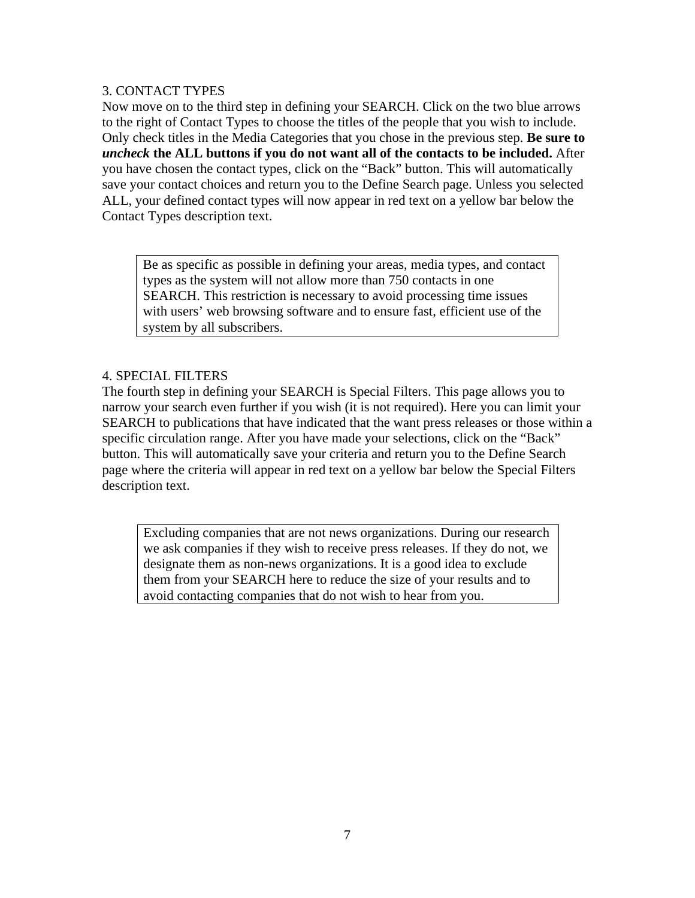# 3. CONTACT TYPES

Now move on to the third step in defining your SEARCH. Click on the two blue arrows to the right of Contact Types to choose the titles of the people that you wish to include. Only check titles in the Media Categories that you chose in the previous step. **Be sure to**  *uncheck* **the ALL buttons if you do not want all of the contacts to be included.** After you have chosen the contact types, click on the "Back" button. This will automatically save your contact choices and return you to the Define Search page. Unless you selected ALL, your defined contact types will now appear in red text on a yellow bar below the Contact Types description text.

Be as specific as possible in defining your areas, media types, and contact types as the system will not allow more than 750 contacts in one SEARCH. This restriction is necessary to avoid processing time issues with users' web browsing software and to ensure fast, efficient use of the system by all subscribers.

# 4. SPECIAL FILTERS

The fourth step in defining your SEARCH is Special Filters. This page allows you to narrow your search even further if you wish (it is not required). Here you can limit your SEARCH to publications that have indicated that the want press releases or those within a specific circulation range. After you have made your selections, click on the "Back" button. This will automatically save your criteria and return you to the Define Search page where the criteria will appear in red text on a yellow bar below the Special Filters description text.

Excluding companies that are not news organizations. During our research we ask companies if they wish to receive press releases. If they do not, we designate them as non-news organizations. It is a good idea to exclude them from your SEARCH here to reduce the size of your results and to avoid contacting companies that do not wish to hear from you.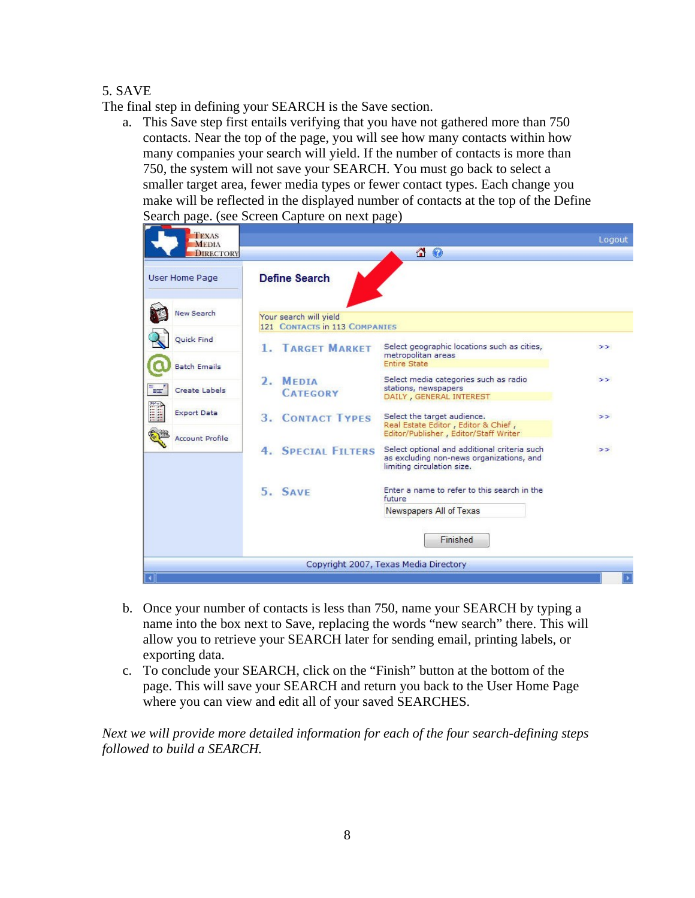# 5. SAVE

The final step in defining your SEARCH is the Save section.

a. This Save step first entails verifying that you have not gathered more than 750 contacts. Near the top of the page, you will see how many contacts within how many companies your search will yield. If the number of contacts is more than 750, the system will not save your SEARCH. You must go back to select a smaller target area, fewer media types or fewer contact types. Each change you make will be reflected in the displayed number of contacts at the top of the Define Search page. (see Screen Capture on next page)

| TEXAS<br><b>MEDIA</b>                            |                                                         |                                                                                                                              | Logout        |
|--------------------------------------------------|---------------------------------------------------------|------------------------------------------------------------------------------------------------------------------------------|---------------|
| <b>DIRECTORY</b>                                 |                                                         | 4<br>$\bullet$                                                                                                               |               |
| User Home Page                                   | <b>Define Search</b>                                    |                                                                                                                              |               |
| <b>New Search</b>                                | Your search will yield<br>121 CONTACTS in 113 COMPANIES |                                                                                                                              |               |
| <b>Ouick Find</b>                                | <b>1. TARGET MARKET</b>                                 | Select geographic locations such as cities,<br>metropolitan areas                                                            | >>            |
| <b>Batch Emails</b><br>"<br><b>Create Labels</b> | 2. MEDIA<br><b>CATEGORY</b>                             | <b>Entire State</b><br>Select media categories such as radio<br>stations, newspapers                                         | $\rightarrow$ |
| Ĩ<br><b>Export Data</b>                          | <b>3. CONTACT TYPES</b>                                 | DAILY, GENERAL INTEREST<br>Select the target audience.                                                                       | >>            |
| <b>Account Profile</b>                           | <b>4. SPECIAL FILTERS</b>                               | Real Estate Editor, Editor & Chief,<br>Editor/Publisher, Editor/Staff Writer<br>Select optional and additional criteria such | >             |
|                                                  |                                                         | as excluding non-news organizations, and<br>limiting circulation size.                                                       |               |
|                                                  | 5. SAVE                                                 | Enter a name to refer to this search in the<br>future                                                                        |               |
|                                                  |                                                         | Newspapers All of Texas<br>Finished                                                                                          |               |
|                                                  |                                                         | Copyright 2007, Texas Media Directory                                                                                        |               |

- b. Once your number of contacts is less than 750, name your SEARCH by typing a name into the box next to Save, replacing the words "new search" there. This will allow you to retrieve your SEARCH later for sending email, printing labels, or exporting data.
- c. To conclude your SEARCH, click on the "Finish" button at the bottom of the page. This will save your SEARCH and return you back to the User Home Page where you can view and edit all of your saved SEARCHES.

*Next we will provide more detailed information for each of the four search-defining steps followed to build a SEARCH.*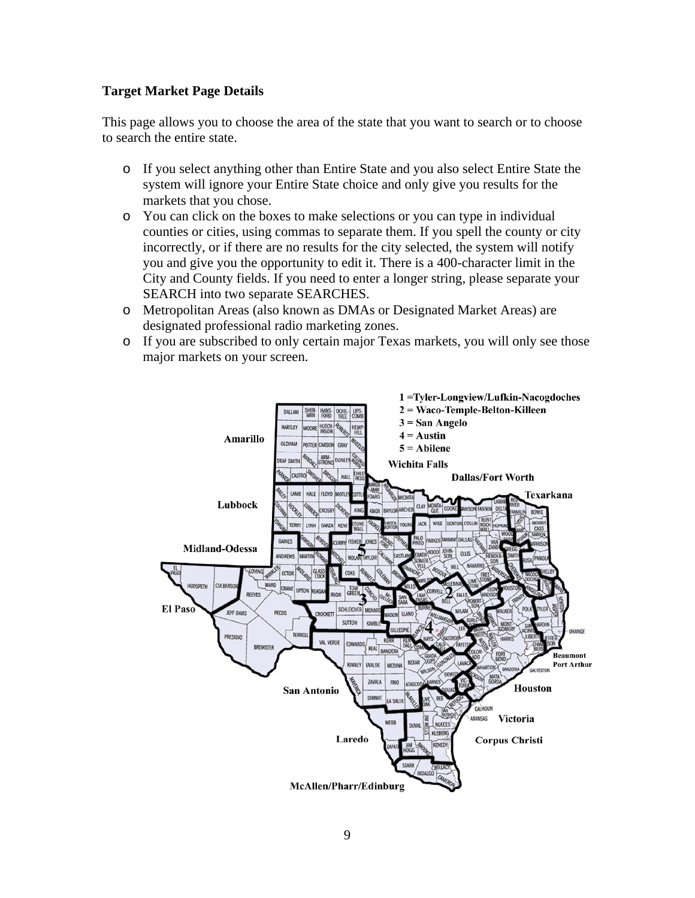### **Target Market Page Details**

This page allows you to choose the area of the state that you want to search or to choose to search the entire state.

- o If you select anything other than Entire State and you also select Entire State the system will ignore your Entire State choice and only give you results for the markets that you chose.
- o You can click on the boxes to make selections or you can type in individual counties or cities, using commas to separate them. If you spell the county or city incorrectly, or if there are no results for the city selected, the system will notify you and give you the opportunity to edit it. There is a 400-character limit in the City and County fields. If you need to enter a longer string, please separate your SEARCH into two separate SEARCHES.
- o Metropolitan Areas (also known as DMAs or Designated Market Areas) are designated professional radio marketing zones.
- o If you are subscribed to only certain major Texas markets, you will only see those major markets on your screen.

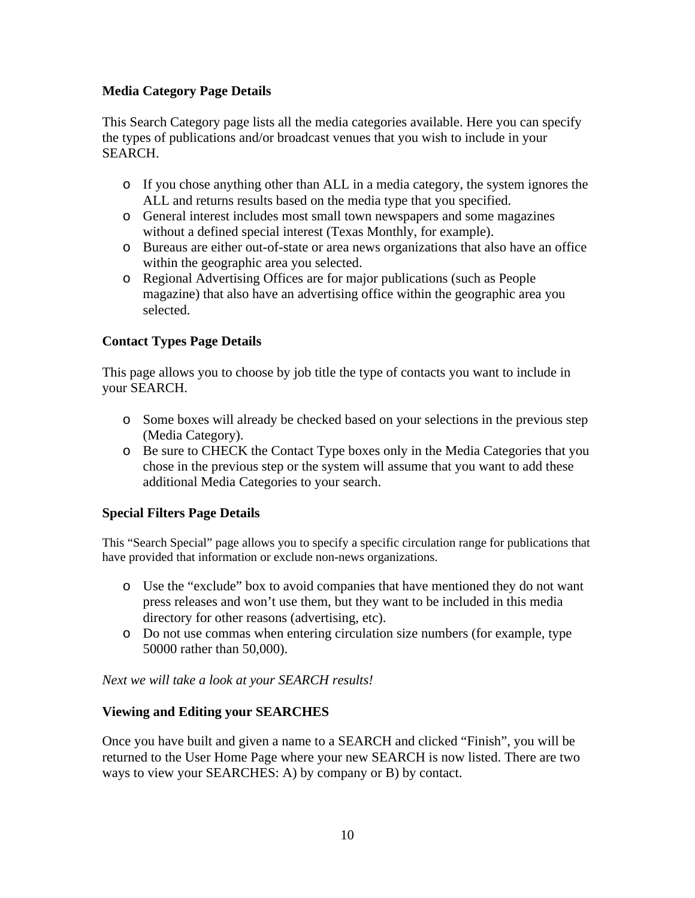# **Media Category Page Details**

This Search Category page lists all the media categories available. Here you can specify the types of publications and/or broadcast venues that you wish to include in your SEARCH.

- o If you chose anything other than ALL in a media category, the system ignores the ALL and returns results based on the media type that you specified.
- o General interest includes most small town newspapers and some magazines without a defined special interest (Texas Monthly, for example).
- o Bureaus are either out-of-state or area news organizations that also have an office within the geographic area you selected.
- o Regional Advertising Offices are for major publications (such as People magazine) that also have an advertising office within the geographic area you selected. The contract of the contract of the contract of the contract of the contract of the contract of the contract of the contract of the contract of the contract of the contract of the contract of the contract of the

# **Contact Types Page Details**

This page allows you to choose by job title the type of contacts you want to include in your SEARCH.

- o Some boxes will already be checked based on your selections in the previous step (Media Category).
- o Be sure to CHECK the Contact Type boxes only in the Media Categories that you chose in the previous step or the system will assume that you want to add these additional Media Categories to your search.

# **Special Filters Page Details**

This "Search Special" page allows you to specify a specific circulation range for publications that have provided that information or exclude non-news organizations.

- o Use the "exclude" box to avoid companies that have mentioned they do not want press releases and won't use them, but they want to be included in this media directory for other reasons (advertising, etc).
- o Do not use commas when entering circulation size numbers (for example, type 50000 rather than 50,000).

# *Next we will take a look at your SEARCH results!*

# **Viewing and Editing your SEARCHES**

Once you have built and given a name to a SEARCH and clicked "Finish", you will be returned to the User Home Page where your new SEARCH is now listed. There are two ways to view your SEARCHES: A) by company or B) by contact.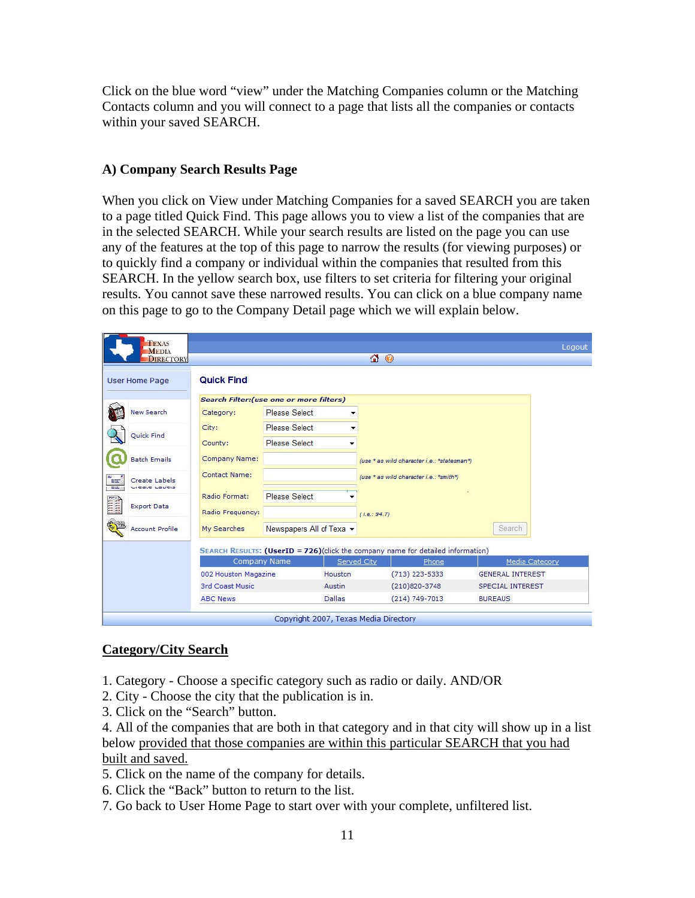Click on the blue word "view" under the Matching Companies column or the Matching Contacts column and you will connect to a page that lists all the companies or contacts within your saved SEARCH.

### **A) Company Search Results Page**

When you click on View under Matching Companies for a saved SEARCH you are taken to a page titled Quick Find. This page allows you to view a list of the companies that are in the selected SEARCH. While your search results are listed on the page you can use any of the features at the top of this page to narrow the results (for viewing purposes) or to quickly find a company or individual within the companies that resulted from this SEARCH. In the yellow search box, use filters to set criteria for filtering your original results. You cannot save these narrowed results. You can click on a blue company name on this page to go to the Company Detail page which we will explain below.

| <b>MEDIA</b><br><b>DIRECTORY</b> |                                                 |                      |                          | <b>40</b>    |                                                                                  |                         |  |
|----------------------------------|-------------------------------------------------|----------------------|--------------------------|--------------|----------------------------------------------------------------------------------|-------------------------|--|
| <b>User Home Page</b>            | <b>Quick Find</b>                               |                      |                          |              |                                                                                  |                         |  |
|                                  | <b>Search Filter: (use one or more filters)</b> |                      |                          |              |                                                                                  |                         |  |
| <b>New Search</b>                | Category:                                       | <b>Please Select</b> | ▼                        |              |                                                                                  |                         |  |
| Quick Find                       | City:                                           | <b>Please Select</b> | ▼                        |              |                                                                                  |                         |  |
|                                  | County:                                         | <b>Please Select</b> | ▼                        |              |                                                                                  |                         |  |
| <b>Batch Emails</b>              | Company Name:                                   |                      |                          |              | (use * as wild character i.e.: *statesman*)                                      |                         |  |
| Create Labels<br>Em:             | Contact Name:                                   |                      |                          |              | (use * as wild character i.e.: *smith*)                                          |                         |  |
| ee.<br>Vicale Laueis             | Radio Format:                                   | <b>Please Select</b> |                          |              |                                                                                  |                         |  |
| liiii)<br><b>Export Data</b>     | Radio Frequency:                                |                      |                          | (i.e.: 94.7) |                                                                                  |                         |  |
| <b>Account Profile</b>           | My Searches                                     |                      | Newspapers All of Texa v |              |                                                                                  | Search                  |  |
|                                  |                                                 |                      |                          |              | SEARCH RESULTS: (UserID = 726) (click the company name for detailed information) |                         |  |
|                                  | <b>Company Name</b>                             |                      |                          | Served City  | Phone                                                                            | Media Category          |  |
|                                  | 002 Houston Magazine                            |                      | Houston                  |              | $(713)$ 223-5333                                                                 | <b>GENERAL INTEREST</b> |  |
|                                  | 3rd Coast Music                                 |                      | Austin                   |              | $(210)820 - 3748$                                                                | SPECIAL INTEREST        |  |
|                                  | <b>ABC News</b>                                 |                      | Dallas                   |              | $(214) 749 - 7013$                                                               | <b>BUREAUS</b>          |  |

# **Category/City Search**

- 1. Category Choose a specific category such as radio or daily. AND/OR
- 2. City Choose the city that the publication is in.
- 3. Click on the "Search" button.

4. All of the companies that are both in that category and in that city will show up in a list below provided that those companies are within this particular SEARCH that you had built and saved.

- 5. Click on the name of the company for details.
- 6. Click the "Back" button to return to the list.
- 7. Go back to User Home Page to start over with your complete, unfiltered list.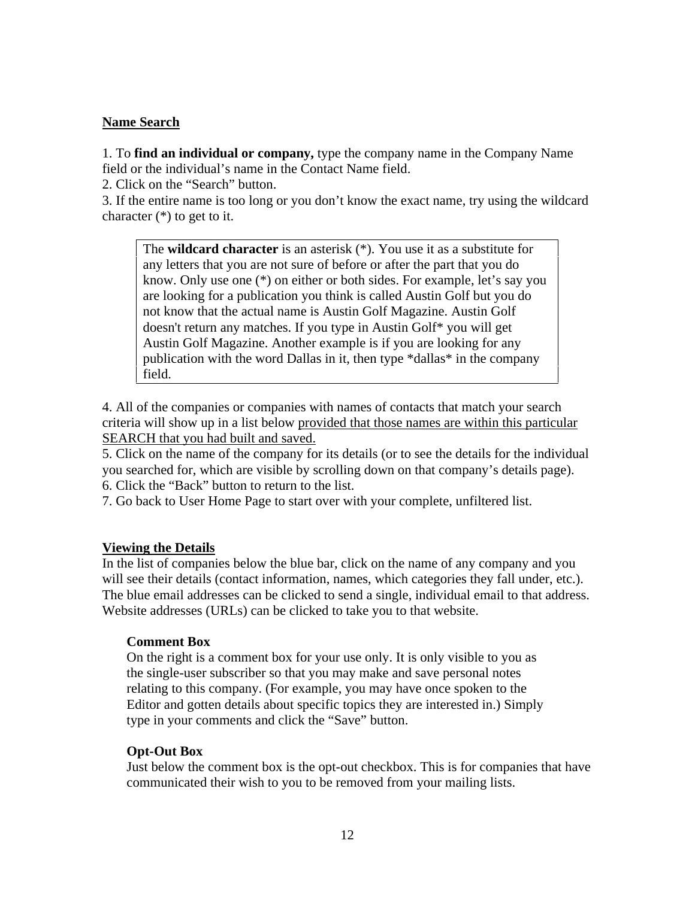# **Name Search**

1. To **find an individual or company,** type the company name in the Company Name field or the individual's name in the Contact Name field.

2. Click on the "Search" button.

3. If the entire name is too long or you don't know the exact name, try using the wildcard character (\*) to get to it.

The **wildcard character** is an asterisk (\*). You use it as a substitute for any letters that you are not sure of before or after the part that you do know. Only use one (\*) on either or both sides. For example, let's say you are looking for a publication you think is called Austin Golf but you do not know that the actual name is Austin Golf Magazine. Austin Golf doesn't return any matches. If you type in Austin Golf\* you will get Austin Golf Magazine. Another example is if you are looking for any publication with the word Dallas in it, then type \*dallas\* in the company field.

4. All of the companies or companies with names of contacts that match your search criteria will show up in a list below provided that those names are within this particular SEARCH that you had built and saved.

5. Click on the name of the company for its details (or to see the details for the individual you searched for, which are visible by scrolling down on that company's details page). 6. Click the "Back" button to return to the list.

7. Go back to User Home Page to start over with your complete, unfiltered list.

### **Viewing the Details**

In the list of companies below the blue bar, click on the name of any company and you will see their details (contact information, names, which categories they fall under, etc.). The blue email addresses can be clicked to send a single, individual email to that address. Website addresses (URLs) can be clicked to take you to that website.

# **Comment Box**

On the right is a comment box for your use only. It is only visible to you as the single-user subscriber so that you may make and save personal notes relating to this company. (For example, you may have once spoken to the Editor and gotten details about specific topics they are interested in.) Simply type in your comments and click the "Save" button.

# **Opt-Out Box**

Just below the comment box is the opt-out checkbox. This is for companies that have communicated their wish to you to be removed from your mailing lists.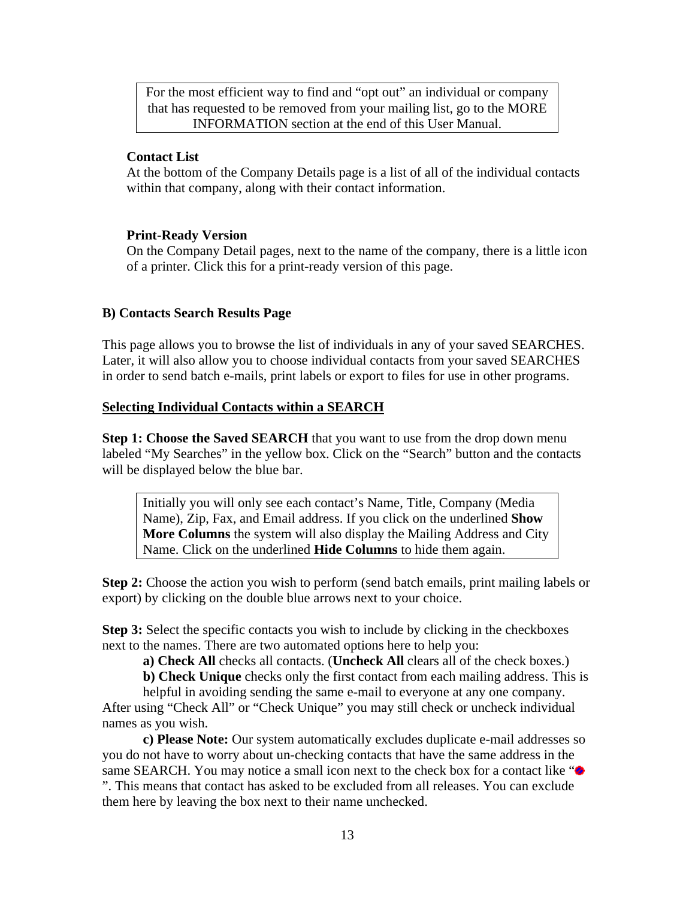For the most efficient way to find and "opt out" an individual or company that has requested to be removed from your mailing list, go to the MORE INFORMATION section at the end of this User Manual.

### **Contact List**

At the bottom of the Company Details page is a list of all of the individual contacts within that company, along with their contact information.

### **Print-Ready Version**

On the Company Detail pages, next to the name of the company, there is a little icon of a printer. Click this for a print-ready version of this page.

### **B) Contacts Search Results Page**

This page allows you to browse the list of individuals in any of your saved SEARCHES. Later, it will also allow you to choose individual contacts from your saved SEARCHES in order to send batch e-mails, print labels or export to files for use in other programs.

### **Selecting Individual Contacts within a SEARCH**

**Step 1: Choose the Saved SEARCH** that you want to use from the drop down menu labeled "My Searches" in the yellow box. Click on the "Search" button and the contacts will be displayed below the blue bar.

Initially you will only see each contact's Name, Title, Company (Media Name), Zip, Fax, and Email address. If you click on the underlined **Show More Columns** the system will also display the Mailing Address and City Name. Click on the underlined **Hide Columns** to hide them again.

**Step 2:** Choose the action you wish to perform (send batch emails, print mailing labels or export) by clicking on the double blue arrows next to your choice.

**Step 3:** Select the specific contacts you wish to include by clicking in the checkboxes next to the names. There are two automated options here to help you:

**a) Check All** checks all contacts. (**Uncheck All** clears all of the check boxes.)

**b) Check Unique** checks only the first contact from each mailing address. This is

helpful in avoiding sending the same e-mail to everyone at any one company.<br>After using "Check All" or "Check Unique" you may still check or uncheck individual names as you wish.

**c) Please Note:** Our system automatically excludes duplicate e-mail addresses so you do not have to worry about un-checking contacts that have the same address in the same SEARCH. You may notice a small icon next to the check box for a contact like " $\bullet$ ". This means that contact has asked to be excluded from all releases. You can exclude them here by leaving the box next to their name unchecked.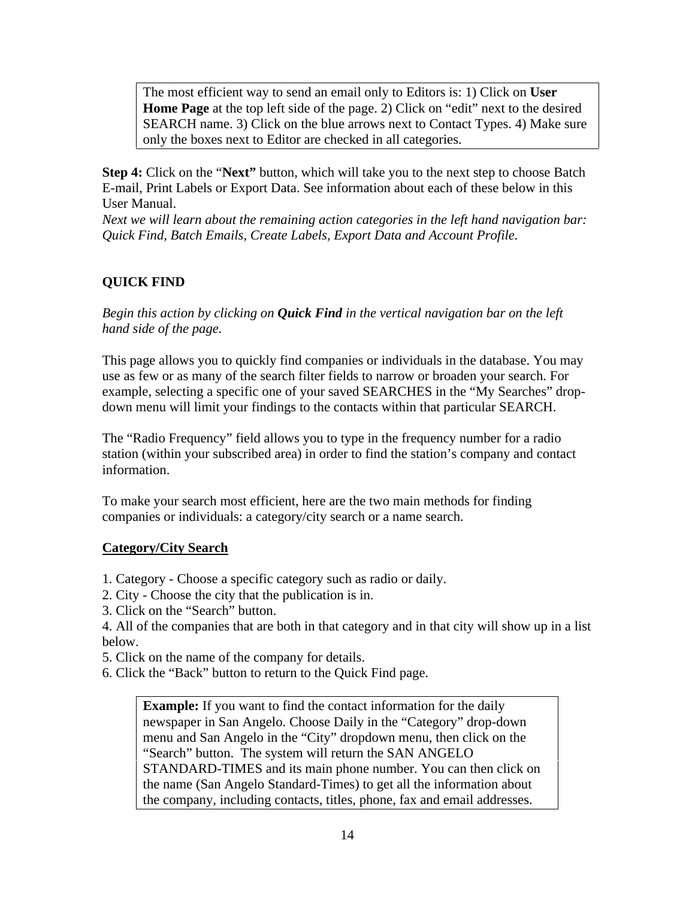The most efficient way to send an email only to Editors is: 1) Click on **User Home Page** at the top left side of the page. 2) Click on "edit" next to the desired SEARCH name. 3) Click on the blue arrows next to Contact Types. 4) Make sure only the boxes next to Editor are checked in all categories.

**Step 4:** Click on the "**Next"** button, which will take you to the next step to choose Batch E-mail, Print Labels or Export Data. See information about each of these below in this User Manual.

*Next we will learn about the remaining action categories in the left hand navigation bar: Quick Find, Batch Emails, Create Labels, Export Data and Account Profile.*

# **QUICK FIND**

*Begin this action by clicking on Quick Find in the vertical navigation bar on the left hand side of the page.*

This page allows you to quickly find companies or individuals in the database. You may use as few or as many of the search filter fields to narrow or broaden your search. For example, selecting a specific one of your saved SEARCHES in the "My Searches" drop down menu will limit your findings to the contacts within that particular SEARCH.

The "Radio Frequency" field allows you to type in the frequency number for a radio station (within your subscribed area) in order to find the station's company and contact information.

To make your search most efficient, here are the two main methods for finding companies or individuals: a category/city search or a name search.

### **Category/City Search**

- 1. Category Choose a specific category such as radio or daily.
- 2. City Choose the city that the publication is in.
- 3. Click on the "Search" button.

4. All of the companies that are both in that category and in that city will show up in a list below.

- 5. Click on the name of the company for details.
- 6. Click the "Back" button to return to the Quick Find page.

**Example:** If you want to find the contact information for the daily newspaper in San Angelo. Choose Daily in the "Category" drop-down menu and San Angelo in the "City" dropdown menu, then click on the "Search" button. The system will return the SAN ANGELO STANDARD-TIMES and its main phone number. You can then click on the name (San Angelo Standard-Times) to get all the information about the company, including contacts, titles, phone, fax and email addresses.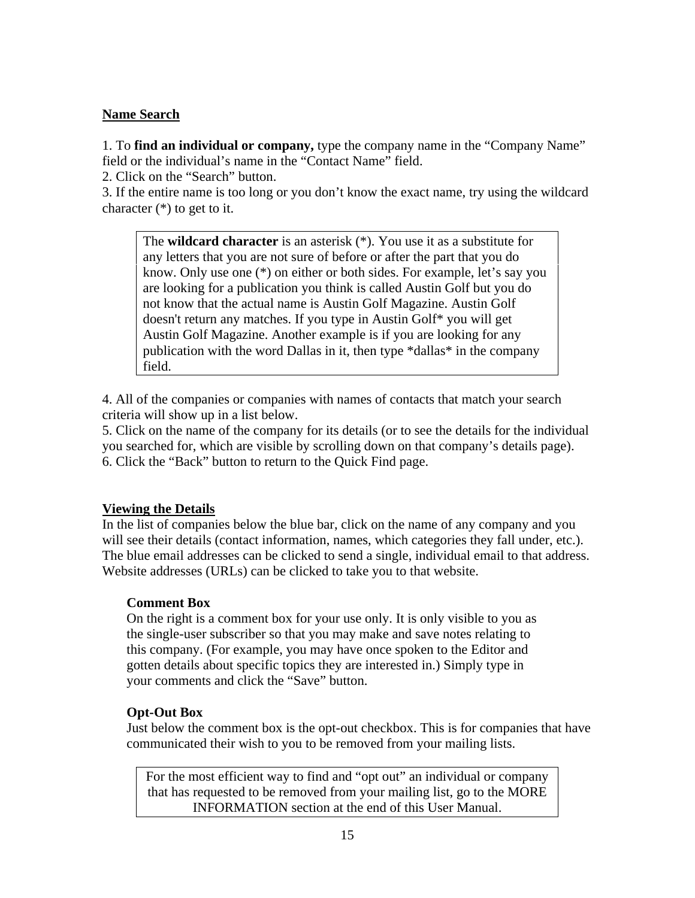# **Name Search**

1. To **find an individual or company,** type the company name in the "Company Name" field or the individual's name in the "Contact Name" field.

2. Click on the "Search" button.

3. If the entire name is too long or you don't know the exact name, try using the wildcard character (\*) to get to it.

The **wildcard character** is an asterisk (\*). You use it as a substitute for any letters that you are not sure of before or after the part that you do know. Only use one (\*) on either or both sides. For example, let's say you are looking for a publication you think is called Austin Golf but you do not know that the actual name is Austin Golf Magazine. Austin Golf doesn't return any matches. If you type in Austin Golf\* you will get Austin Golf Magazine. Another example is if you are looking for any publication with the word Dallas in it, then type \*dallas\* in the company field.

4. All of the companies or companies with names of contacts that match your search criteria will show up in a list below.

5. Click on the name of the company for its details (or to see the details for the individual you searched for, which are visible by scrolling down on that company's details page). 6. Click the "Back" button to return to the Quick Find page.

# **Viewing the Details**

In the list of companies below the blue bar, click on the name of any company and you will see their details (contact information, names, which categories they fall under, etc.). The blue email addresses can be clicked to send a single, individual email to that address. Website addresses (URLs) can be clicked to take you to that website.

# **Comment Box**

On the right is a comment box for your use only. It is only visible to you as the single-user subscriber so that you may make and save notes relating to this company. (For example, you may have once spoken to the Editor and gotten details about specific topics they are interested in.) Simply type in your comments and click the "Save" button.

# **Opt-Out Box**

Just below the comment box is the opt-out checkbox. This is for companies that have communicated their wish to you to be removed from your mailing lists.

For the most efficient way to find and "opt out" an individual or company that has requested to be removed from your mailing list, go to the MORE INFORMATION section at the end of this User Manual.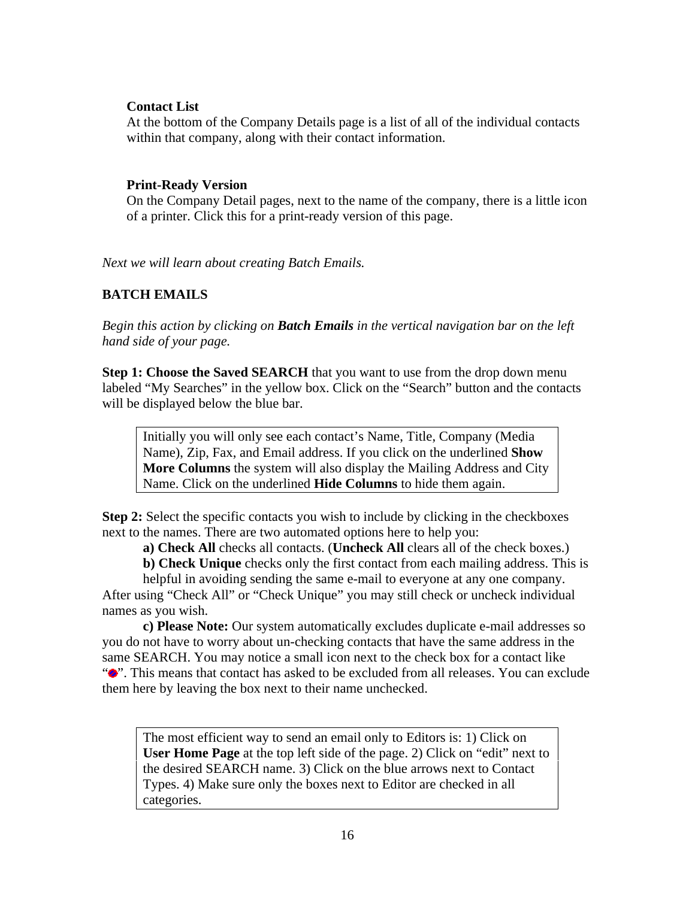### **Contact List**

At the bottom of the Company Details page is a list of all of the individual contacts within that company, along with their contact information.

### **Print-Ready Version**

On the Company Detail pages, next to the name of the company, there is a little icon of a printer. Click this for a print-ready version of this page.

*Next we will learn about creating Batch Emails.*

# **BATCH EMAILS**

*Begin this action by clicking on Batch Emails in the vertical navigation bar on the left hand side of your page.*

**Step 1: Choose the Saved SEARCH** that you want to use from the drop down menu labeled "My Searches" in the yellow box. Click on the "Search" button and the contacts will be displayed below the blue bar.

Initially you will only see each contact's Name, Title, Company (Media Name), Zip, Fax, and Email address. If you click on the underlined **Show More Columns** the system will also display the Mailing Address and City Name. Click on the underlined **Hide Columns** to hide them again.

**Step 2:** Select the specific contacts you wish to include by clicking in the checkboxes next to the names. There are two automated options here to help you:

**a) Check All** checks all contacts. (**Uncheck All** clears all of the check boxes.)

**b) Check Unique** checks only the first contact from each mailing address. This is

helpful in avoiding sending the same e-mail to everyone at any one company.<br>After using "Check All" or "Check Unique" you may still check or uncheck individual names as you wish.

**c) Please Note:** Our system automatically excludes duplicate e-mail addresses so you do not have to worry about un-checking contacts that have the same address in the same SEARCH. You may notice a small icon next to the check box for a contact like " $\bullet$ ". This means that contact has asked to be excluded from all releases. You can exclude them here by leaving the box next to their name unchecked.

The most efficient way to send an email only to Editors is: 1) Click on **User Home Page** at the top left side of the page. 2) Click on "edit" next to the desired SEARCH name. 3) Click on the blue arrows next to Contact Types. 4) Make sure only the boxes next to Editor are checked in all categories.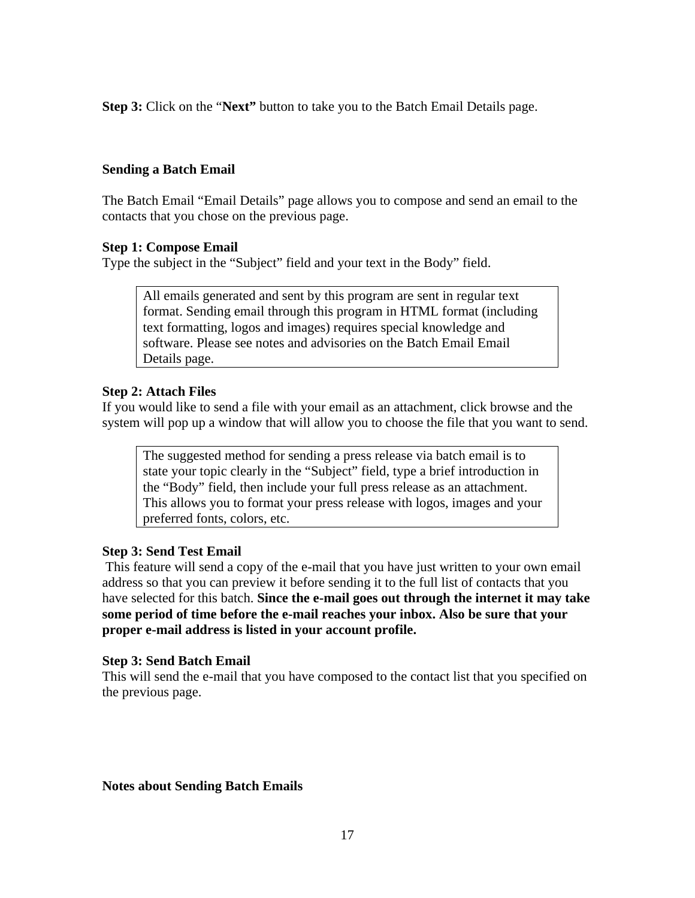**Step 3:** Click on the "**Next"** button to take you to the Batch Email Details page.

### **Sending a Batch Email**

The Batch Email "Email Details" page allows you to compose and send an email to the contacts that you chose on the previous page.

### **Step 1: Compose Email**

Type the subject in the "Subject" field and your text in the Body" field.

All emails generated and sent by this program are sent in regular text format. Sending email through this program in HTML format (including text formatting, logos and images) requires special knowledge and software. Please see notes and advisories on the Batch Email Email Details page.

### **Step 2: Attach Files**

If you would like to send a file with your email as an attachment, click browse and the system will pop up a window that will allow you to choose the file that you want to send.

The suggested method for sending a press release via batch email is to state your topic clearly in the "Subject" field, type a brief introduction in the "Body" field, then include your full press release as an attachment. This allows you to format your press release with logos, images and your preferred fonts, colors, etc.

### **Step 3: Send Test Email**

This feature will send a copy of the e-mail that you have just written to your own email address so that you can preview it before sending it to the full list of contacts that you have selected for this batch. **Since the e-mail goes out through the internet it may take some period of time before the e-mail reaches your inbox. Also be sure that your proper e-mail address is listed in your account profile.**

### **Step 3: Send Batch Email**

This will send the e-mail that you have composed to the contact list that you specified on the previous page.

### **Notes about Sending Batch Emails**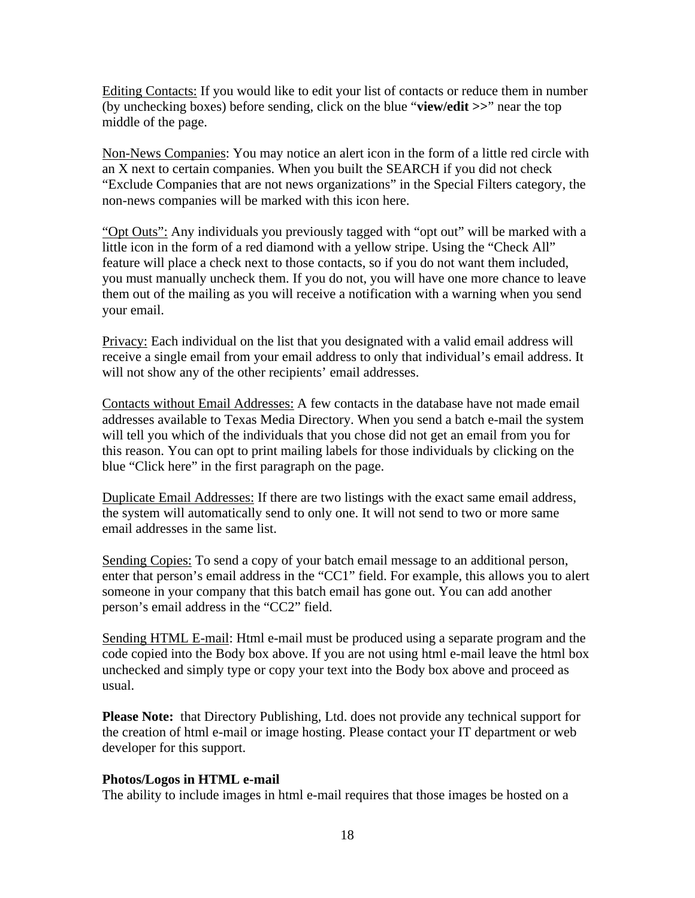Editing Contacts: If you would like to edit your list of contacts or reduce them in number (by unchecking boxes) before sending, click on the blue "**view/edit >>**" near the top middle of the page.

Non-News Companies: You may notice an alert icon in the form of a little red circle with an X next to certain companies. When you built the SEARCH if you did not check "Exclude Companies that are not news organizations" in the Special Filters category, the non-news companies will be marked with this icon here.

"Opt Outs": Any individuals you previously tagged with "opt out" will be marked with a little icon in the form of a red diamond with a yellow stripe. Using the "Check All" feature will place a check next to those contacts, so if you do not want them included, you must manually uncheck them. If you do not, you will have one more chance to leave them out of the mailing as you will receive a notification with a warning when you send your email.

Privacy: Each individual on the list that you designated with a valid email address will receive a single email from your email address to only that individual's email address. It will not show any of the other recipients' email addresses.

Contacts without Email Addresses: A few contacts in the database have not made email addresses available to Texas Media Directory. When you send a batch e-mail the system will tell you which of the individuals that you chose did not get an email from you for this reason. You can opt to print mailing labels for those individuals by clicking on the blue "Click here" in the first paragraph on the page.

Duplicate Email Addresses: If there are two listings with the exact same email address, the system will automatically send to only one. It will not send to two or more same email addresses in the same list.

Sending Copies: To send a copy of your batch email message to an additional person, enter that person's email address in the "CC1" field. For example, this allows you to alert someone in your company that this batch email has gone out. You can add another person's email address in the "CC2" field.

Sending HTML E-mail: Html e-mail must be produced using a separate program and the code copied into the Body box above. If you are not using html e-mail leave the html box unchecked and simply type or copy your text into the Body box above and proceed as usual.

**Please Note:** that Directory Publishing, Ltd. does not provide any technical support for the creation of html e-mail or image hosting. Please contact your IT department or web developer for this support.

### **Photos/Logos in HTML e-mail**

The ability to include images in html e-mail requires that those images be hosted on a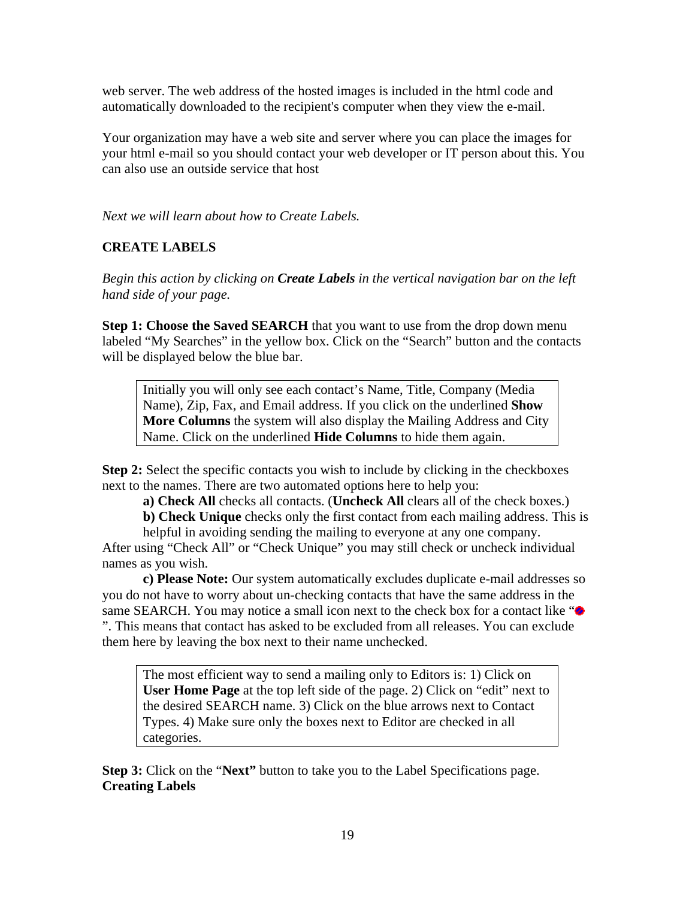web server. The web address of the hosted images is included in the html code and automatically downloaded to the recipient's computer when they view the e-mail.

Your organization may have a web site and server where you can place the images for your html e-mail so you should contact your web developer or IT person about this. You can also use an outside service that host

*Next we will learn about how to Create Labels.*

### **CREATE LABELS**

*Begin this action by clicking on Create Labels in the vertical navigation bar on the left hand side of your page.*

**Step 1: Choose the Saved SEARCH** that you want to use from the drop down menu labeled "My Searches" in the yellow box. Click on the "Search" button and the contacts will be displayed below the blue bar.

Initially you will only see each contact's Name, Title, Company (Media Name), Zip, Fax, and Email address. If you click on the underlined **Show More Columns** the system will also display the Mailing Address and City Name. Click on the underlined **Hide Columns** to hide them again.

**Step 2:** Select the specific contacts you wish to include by clicking in the checkboxes next to the names. There are two automated options here to help you:

**a) Check All** checks all contacts. (**Uncheck All** clears all of the check boxes.)

**b) Check Unique** checks only the first contact from each mailing address. This is

helpful in avoiding sending the mailing to everyone at any one company.<br>After using "Check All" or "Check Unique" you may still check or uncheck individual names as you wish.

**c) Please Note:** Our system automatically excludes duplicate e-mail addresses so you do not have to worry about un-checking contacts that have the same address in the same SEARCH. You may notice a small icon next to the check box for a contact like " $\bullet$ ". This means that contact has asked to be excluded from all releases. You can exclude them here by leaving the box next to their name unchecked.

The most efficient way to send a mailing only to Editors is: 1) Click on **User Home Page** at the top left side of the page. 2) Click on "edit" next to the desired SEARCH name. 3) Click on the blue arrows next to Contact Types. 4) Make sure only the boxes next to Editor are checked in all categories.

**Step 3:** Click on the "**Next"** button to take you to the Label Specifications page. **Creating Labels**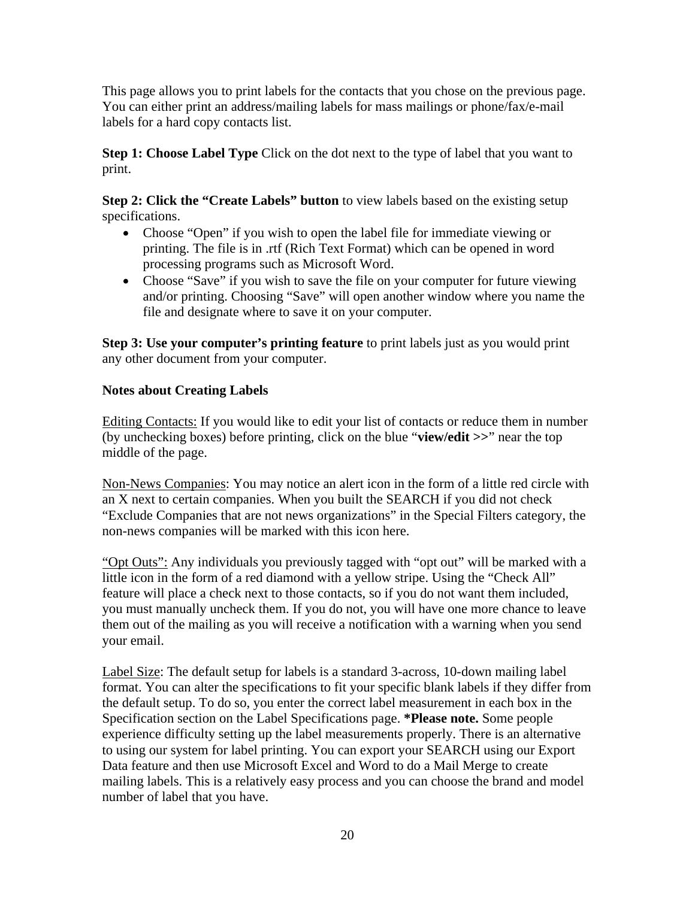This page allows you to print labels for the contacts that you chose on the previous page. You can either print an address/mailing labels for mass mailings or phone/fax/e-mail labels for a hard copy contacts list.

**Step 1: Choose Label Type** Click on the dot next to the type of label that you want to print.

**Step 2: Click the "Create Labels" button** to view labels based on the existing setup specifications.

- Choose "Open" if you wish to open the label file for immediate viewing or printing. The file is in .rtf (Rich Text Format) which can be opened in word processing programs such as Microsoft Word.
- Choose "Save" if you wish to save the file on your computer for future viewing and/or printing. Choosing "Save" will open another window where you name the file and designate where to save it on your computer.

**Step 3: Use your computer's printing feature** to print labels just as you would print any other document from your computer.

# **Notes about Creating Labels**

Editing Contacts: If you would like to edit your list of contacts or reduce them in number (by unchecking boxes) before printing, click on the blue "**view/edit >>**" near the top middle of the page.

Non-News Companies: You may notice an alert icon in the form of a little red circle with an X next to certain companies. When you built the SEARCH if you did not check "Exclude Companies that are not news organizations" in the Special Filters category, the non-news companies will be marked with this icon here.

"Opt Outs": Any individuals you previously tagged with "opt out" will be marked with a little icon in the form of a red diamond with a yellow stripe. Using the "Check All" feature will place a check next to those contacts, so if you do not want them included, you must manually uncheck them. If you do not, you will have one more chance to leave them out of the mailing as you will receive a notification with a warning when you send your email.

Label Size: The default setup for labels is a standard 3-across, 10-down mailing label format. You can alter the specifications to fit your specific blank labels if they differ from the default setup. To do so, you enter the correct label measurement in each box in the Specification section on the Label Specifications page. **\*Please note.** Some people experience difficulty setting up the label measurements properly. There is an alternative to using our system for label printing. You can export your SEARCH using our Export Data feature and then use Microsoft Excel and Word to do a Mail Merge to create mailing labels. This is a relatively easy process and you can choose the brand and model number of label that you have.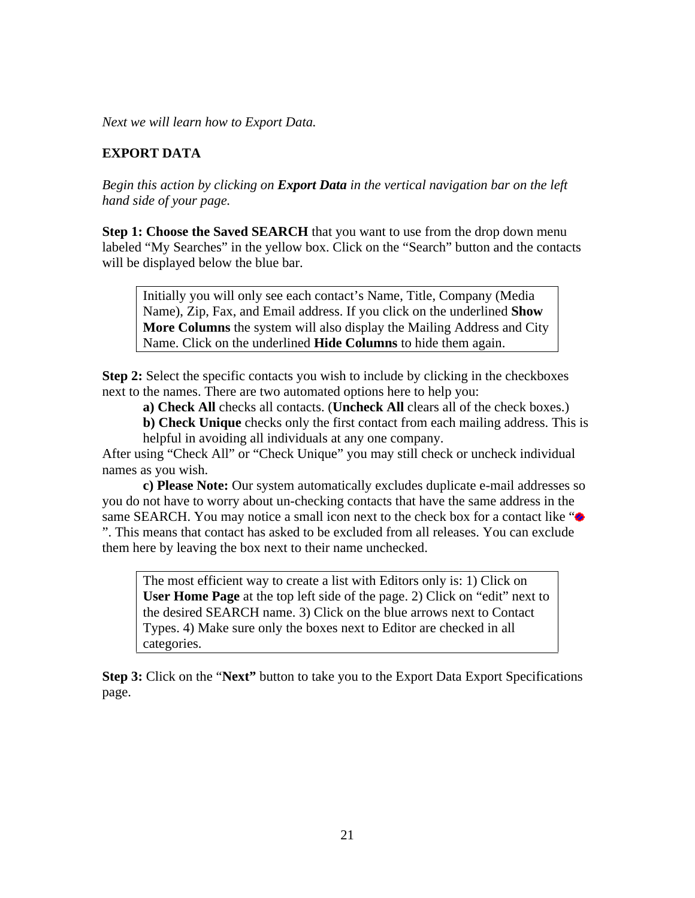*Next we will learn how to Export Data.*

### **EXPORT DATA**

*Begin this action by clicking on Export Data in the vertical navigation bar on the left hand side of your page.*

**Step 1: Choose the Saved SEARCH** that you want to use from the drop down menu labeled "My Searches" in the yellow box. Click on the "Search" button and the contacts will be displayed below the blue bar.

Initially you will only see each contact's Name, Title, Company (Media Name), Zip, Fax, and Email address. If you click on the underlined **Show More Columns** the system will also display the Mailing Address and City Name. Click on the underlined **Hide Columns** to hide them again.

**Step 2:** Select the specific contacts you wish to include by clicking in the checkboxes next to the names. There are two automated options here to help you:

**a) Check All** checks all contacts. (**Uncheck All** clears all of the check boxes.)

**b) Check Unique** checks only the first contact from each mailing address. This is

helpful in avoiding all individuals at any one company. After using "Check All" or "Check Unique" you may still check or uncheck individual names as you wish.

**c) Please Note:** Our system automatically excludes duplicate e-mail addresses so you do not have to worry about un-checking contacts that have the same address in the same SEARCH. You may notice a small icon next to the check box for a contact like " $\bullet$ ". This means that contact has asked to be excluded from all releases. You can exclude them here by leaving the box next to their name unchecked.

The most efficient way to create a list with Editors only is: 1) Click on **User Home Page** at the top left side of the page. 2) Click on "edit" next to the desired SEARCH name. 3) Click on the blue arrows next to Contact Types. 4) Make sure only the boxes next to Editor are checked in all categories.

**Step 3:** Click on the "**Next"** button to take you to the Export Data Export Specifications page.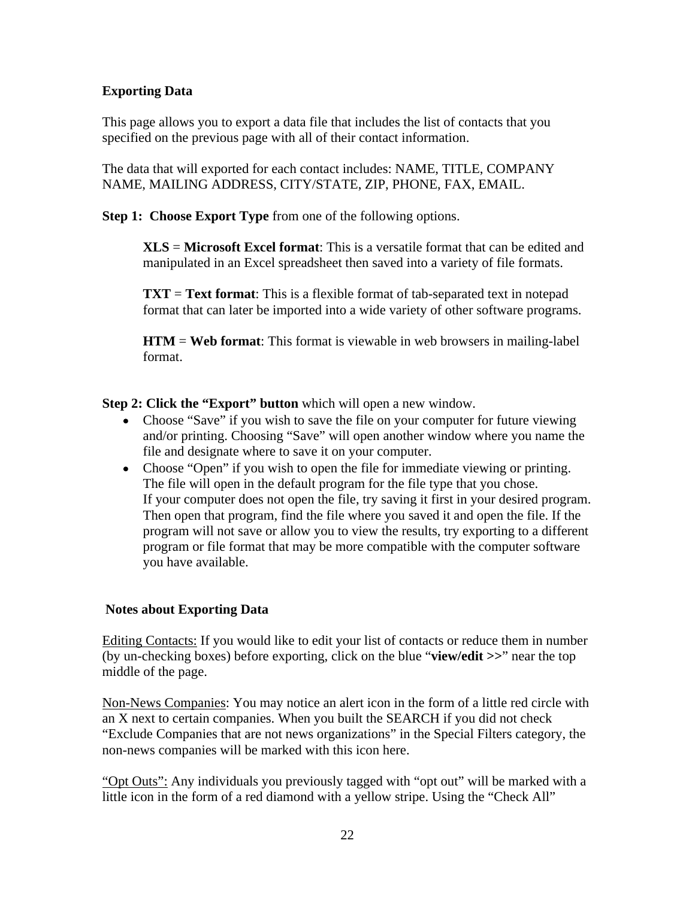# **Exporting Data**

This page allows you to export a data file that includes the list of contacts that you

specified on the previous page with all of their contact information.<br>The data that will exported for each contact includes: NAME, TITLE, COMPANY NAME, MAILING ADDRESS, CITY/STATE, ZIP, PHONE, FAX, EMAIL.

**Step 1: Choose Export Type** from one of the following options.

**XLS** = **Microsoft Excel format**: This is a versatile format that can be edited and manipulated in an Excel spreadsheet then saved into a variety of file formats.

**TXT** = **Text format**: This is a flexible format of tab-separated text in notepad format that can later be imported into a wide variety of other software programs.

**HTM** = **Web format**: This format is viewable in web browsers in mailing-label format.

**Step 2: Click the "Export" button** which will open a new window.

- Choose "Save" if you wish to save the file on your computer for future viewing and/or printing. Choosing "Save" will open another window where you name the file and designate where to save it on your computer.
- Choose "Open" if you wish to open the file for immediate viewing or printing. The file will open in the default program for the file type that you chose. If your computer does not open the file, try saving it first in your desired program. Then open that program, find the file where you saved it and open the file. If the program will not save or allow you to view the results, try exporting to a different program or file format that may be more compatible with the computer software you have available.

### **Notes about Exporting Data**

Editing Contacts: If you would like to edit your list of contacts or reduce them in number (by un-checking boxes) before exporting, click on the blue "**view/edit >>**" near the top middle of the page.

Non-News Companies: You may notice an alert icon in the form of a little red circle with an X next to certain companies. When you built the SEARCH if you did not check "Exclude Companies that are not news organizations" in the Special Filters category, the non-news companies will be marked with this icon here.

"Opt Outs": Any individuals you previously tagged with "opt out" will be marked with a little icon in the form of a red diamond with a yellow stripe. Using the "Check All"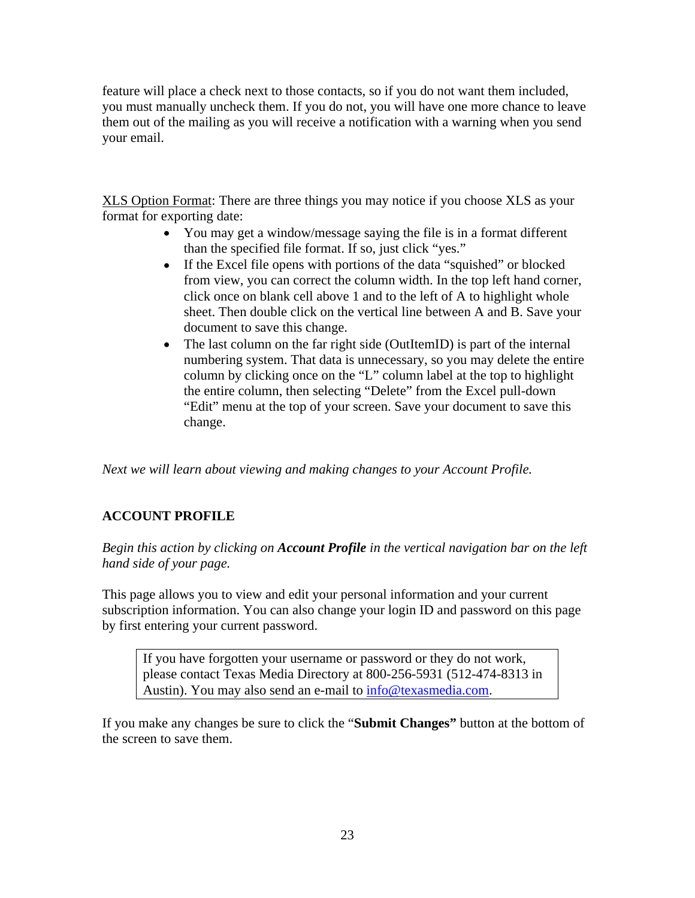feature will place a check next to those contacts, so if you do not want them included, you must manually uncheck them. If you do not, you will have one more chance to leave them out of the mailing as you will receive a notification with a warning when you send your email.

XLS Option Format: There are three things you may notice if you choose XLS as your format for exporting date:

- You may get a window/message saying the file is in a format different than the specified file format. If so, just click "yes."
- If the Excel file opens with portions of the data "squished" or blocked from view, you can correct the column width. In the top left hand corner, click once on blank cell above 1 and to the left of A to highlight whole sheet. Then double click on the vertical line between A and B. Save your document to save this change.
- The last column on the far right side (OutItemID) is part of the internal  $\bullet$ numbering system. That data is unnecessary, so you may delete the entire column by clicking once on the "L" column label at the top to highlight the entire column, then selecting "Delete" from the Excel pull-down "Edit" menu at the top of your screen. Save your document to save this change.

*Next we will learn about viewing and making changes to your Account Profile.*

# **ACCOUNT PROFILE**

*Begin this action by clicking on Account Profile in the vertical navigation bar on the left hand side of your page.*

This page allows you to view and edit your personal information and your current subscription information. You can also change your login ID and password on this page by first entering your current password.

If you have forgotten your username or password or they do not work, please contact Texas Media Directory at 800-256-5931 (512-474-8313 in Austin). You may also send an e-mail to info@texasmedia.com.

If you make any changes be sure to click the "**Submit Changes"** button at the bottom of the screen to save them.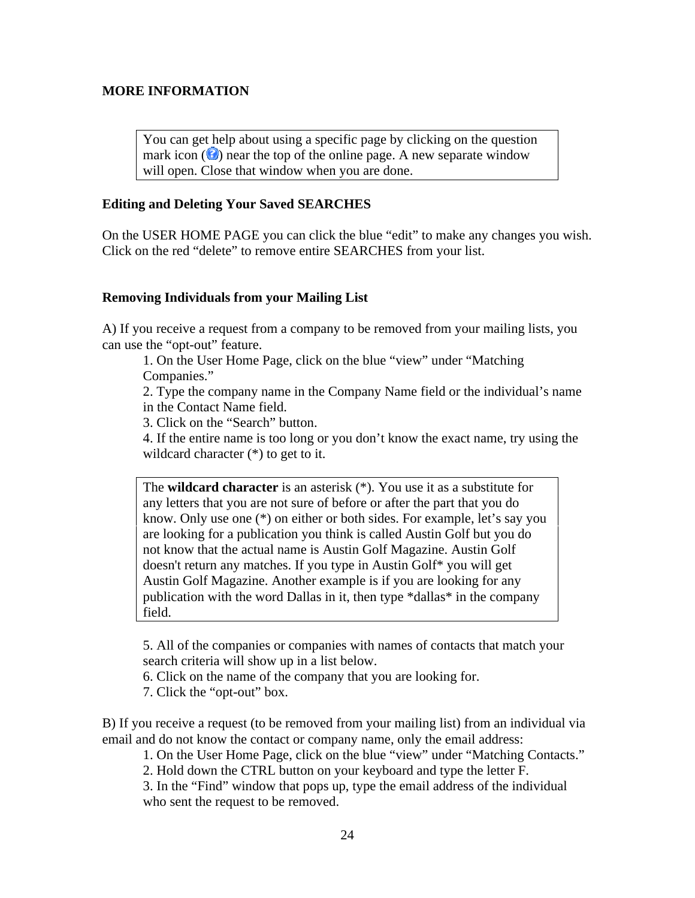### **MORE INFORMATION**

You can get help about using a specific page by clicking on the question mark icon  $\left( \bullet \right)$  near the top of the online page. A new separate window will open. Close that window when you are done.

### **Editing and Deleting Your Saved SEARCHES**

On the USER HOME PAGE you can click the blue "edit" to make any changes you wish. Click on the red "delete" to remove entire SEARCHES from your list.

### **Removing Individuals from your Mailing List**

A) If you receive a request from a company to be removed from your mailing lists, you can use the "opt-out" feature.

1. On the User Home Page, click on the blue "view" under "Matching Companies."

2. Type the company name in the Company Name field or the individual's name in the Contact Name field.

3. Click on the "Search" button.

4. If the entire name is too long or you don't know the exact name, try using the wildcard character  $(*)$  to get to it.

The **wildcard character** is an asterisk (\*). You use it as a substitute for any letters that you are not sure of before or after the part that you do know. Only use one (\*) on either or both sides. For example, let's say you are looking for a publication you think is called Austin Golf but you do not know that the actual name is Austin Golf Magazine. Austin Golf doesn't return any matches. If you type in Austin Golf\* you will get Austin Golf Magazine. Another example is if you are looking for any publication with the word Dallas in it, then type \*dallas\* in the company field.

5. All of the companies or companies with names of contacts that match your search criteria will show up in a list below.

6. Click on the name of the company that you are looking for.

7. Click the "opt-out" box.

B) If you receive a request (to be removed from your mailing list) from an individual via email and do not know the contact or company name, only the email address:

1. On the User Home Page, click on the blue "view" under "Matching Contacts."

2. Hold down the CTRL button on your keyboard and type the letter F.

3. In the "Find" window that pops up, type the email address of the individual who sent the request to be removed.